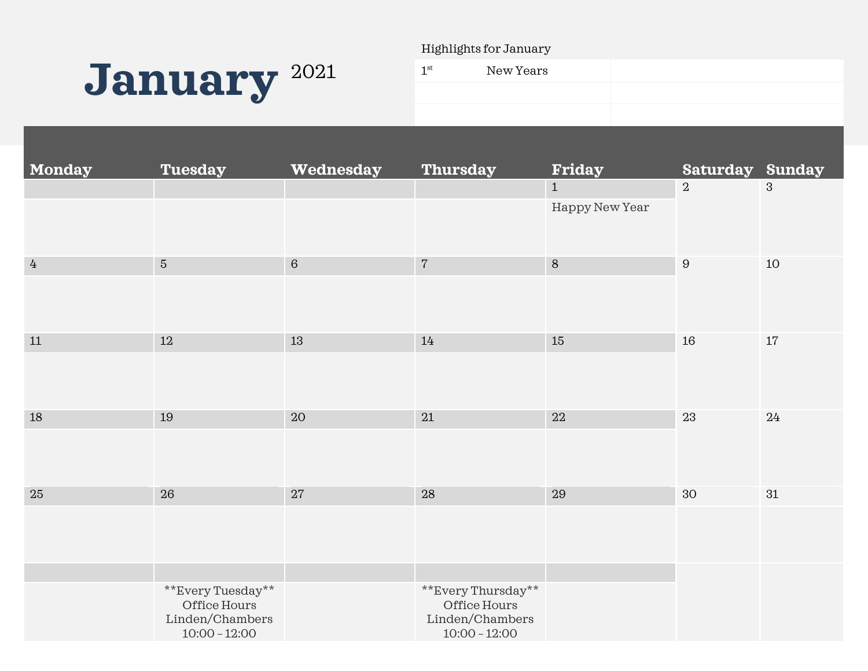

Highlights for January

| 1 <sup>st</sup> | New Years |  |
|-----------------|-----------|--|
|                 |           |  |
|                 |           |  |

| Monday         | <b>Tuesday</b>                  | Wednesday | <b>Thursday</b>                 | <b>Friday</b>  | <b>Saturday Sunday</b> |              |
|----------------|---------------------------------|-----------|---------------------------------|----------------|------------------------|--------------|
|                |                                 |           |                                 | $1\,$          | $\boldsymbol{2}$       | $\mathbf{3}$ |
|                |                                 |           |                                 | Happy New Year |                        |              |
|                |                                 |           |                                 |                |                        |              |
| $\overline{4}$ | $\sqrt{5}$                      | $\,6\,$   | $\sqrt{7}$                      | $\, 8$         | $\, 9$                 | 10           |
|                |                                 |           |                                 |                |                        |              |
|                |                                 |           |                                 |                |                        |              |
| $11\,$         | 12                              | 13        | 14                              | 15             | 16                     | $17\,$       |
|                |                                 |           |                                 |                |                        |              |
|                |                                 |           |                                 |                |                        |              |
| $18\,$         | 19                              | 20        | 21                              | $22\,$         | 23                     | 24           |
|                |                                 |           |                                 |                |                        |              |
|                |                                 |           |                                 |                |                        |              |
|                |                                 |           |                                 |                |                        |              |
| 25             | 26                              | $27\,$    | ${\bf 28}$                      | 29             | 30                     | 31           |
|                |                                 |           |                                 |                |                        |              |
|                |                                 |           |                                 |                |                        |              |
|                |                                 |           |                                 |                |                        |              |
|                | **Every Tuesday**               |           | **Every Thursday**              |                |                        |              |
|                | Office Hours<br>Linden/Chambers |           | Office Hours<br>Linden/Chambers |                |                        |              |
|                | $10:00 - 12:00$                 |           | $10:00 - 12:00$                 |                |                        |              |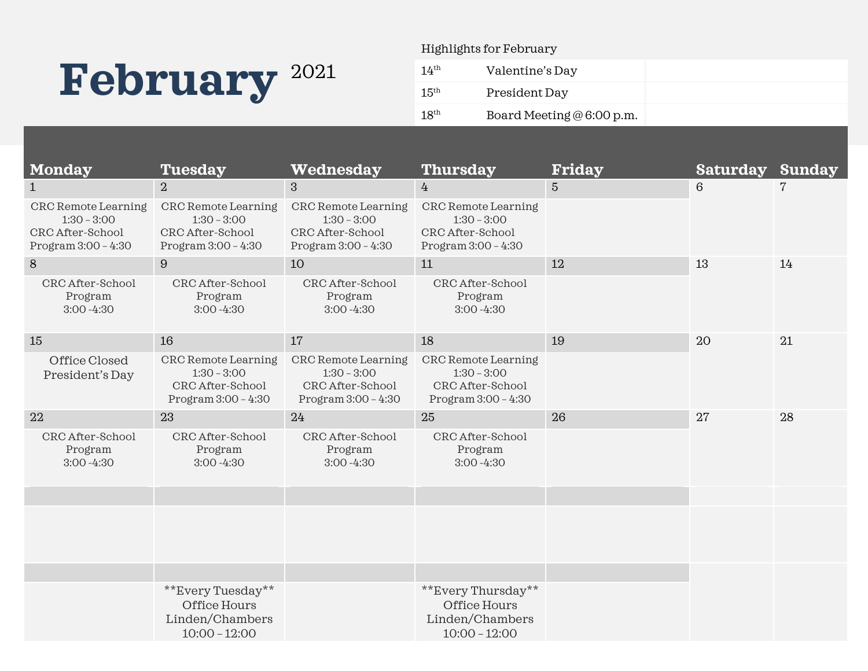# February<sup>2021</sup>

Highlights for February

| 14 <sup>th</sup> | Valentine's Day            |  |
|------------------|----------------------------|--|
| 15 <sup>th</sup> | President Day              |  |
| 18 <sup>th</sup> | Board Meeting $@6:00$ p.m. |  |

| <b>Monday</b>                                                                            | <b>Tuesday</b>                                                                    | Wednesday                                                                         | <b>Thursday</b>                                                                   | <b>Friday</b>   | <b>Saturday Sunday</b> |                |
|------------------------------------------------------------------------------------------|-----------------------------------------------------------------------------------|-----------------------------------------------------------------------------------|-----------------------------------------------------------------------------------|-----------------|------------------------|----------------|
| $\mathbf{1}$                                                                             | $\overline{2}$                                                                    | 3                                                                                 | $\overline{4}$                                                                    | $5\overline{)}$ | $6\phantom{1}6$        | $\overline{7}$ |
| <b>CRC</b> Remote Learning<br>$1:30 - 3:00$<br>CRC After-School<br>Program $3:00 - 4:30$ | CRC Remote Learning<br>$1:30 - 3:00$<br>CRC After-School<br>Program $3:00 - 4:30$ | CRC Remote Learning<br>$1:30 - 3:00$<br>CRC After-School<br>Program $3:00 - 4:30$ | CRC Remote Learning<br>$1:30 - 3:00$<br>CRC After-School<br>Program $3:00 - 4:30$ |                 |                        |                |
| 8                                                                                        | 9                                                                                 | 10                                                                                | 11                                                                                | 12              | 13                     | 14             |
| CRC After-School<br>Program<br>$3:00 - 4:30$                                             | CRC After-School<br>Program<br>$3:00 - 4:30$                                      | CRC After-School<br>Program<br>$3:00 - 4:30$                                      | CRC After-School<br>Program<br>$3:00 - 4:30$                                      |                 |                        |                |
| 15                                                                                       | 16                                                                                | 17                                                                                | 18                                                                                | 19              | 20                     | 21             |
| Office Closed<br>President's Day                                                         | CRC Remote Learning<br>$1:30 - 3:00$<br>CRC After-School<br>Program $3:00 - 4:30$ | CRC Remote Learning<br>$1:30 - 3:00$<br>CRC After-School<br>Program $3:00 - 4:30$ | CRC Remote Learning<br>$1:30 - 3:00$<br>CRC After-School<br>Program $3:00 - 4:30$ |                 |                        |                |
| 22                                                                                       | 23                                                                                | 24                                                                                | 25                                                                                | 26              | 27                     | 28             |
| CRC After-School<br>Program<br>$3:00 - 4:30$                                             | CRC After-School<br>Program<br>$3:00 - 4:30$                                      | CRC After-School<br>Program<br>$3:00 - 4:30$                                      | CRC After-School<br>Program<br>$3:00 - 4:30$                                      |                 |                        |                |
|                                                                                          |                                                                                   |                                                                                   |                                                                                   |                 |                        |                |
|                                                                                          |                                                                                   |                                                                                   |                                                                                   |                 |                        |                |
|                                                                                          |                                                                                   |                                                                                   |                                                                                   |                 |                        |                |
|                                                                                          | **Every Tuesday**<br>Office Hours<br>Linden/Chambers<br>$10:00 - 12:00$           |                                                                                   | **Every Thursday**<br>Office Hours<br>Linden/Chambers<br>$10:00 - 12:00$          |                 |                        |                |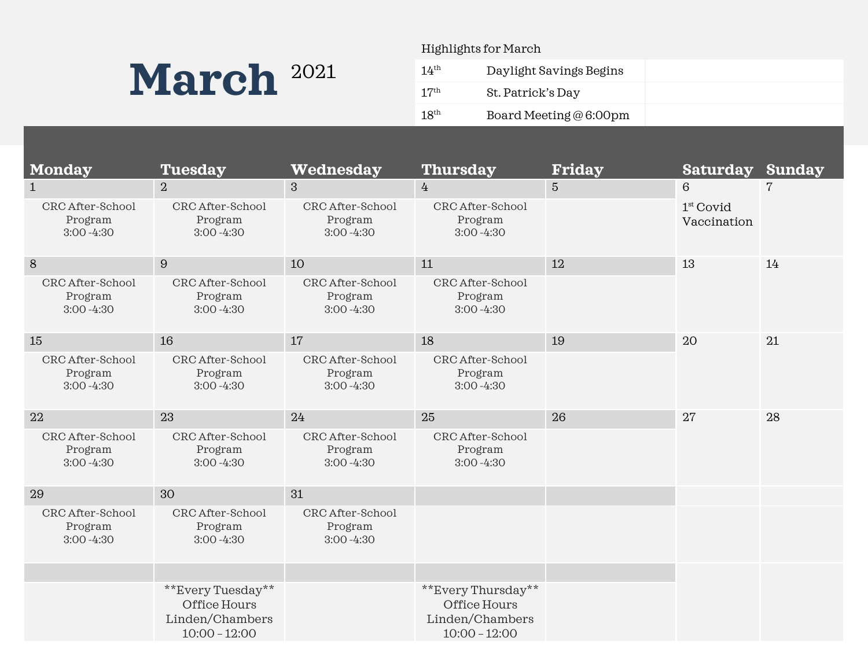### March<sup>2021</sup>

#### Highlights for March

| 14 <sup>th</sup> | Daylight Savings Begins         |  |
|------------------|---------------------------------|--|
| 17 <sup>th</sup> | St. Patrick's Day               |  |
| 18 <sup>th</sup> | Board Meeting $@6:00 \text{pm}$ |  |
|                  |                                 |  |

| <b>Monday</b>                                | <b>Tuesday</b>                                                          | Wednesday                                    | <b>Thursday</b>                                                          | <b>Friday</b>   | <b>Saturday</b>            | <b>Sunday</b> |
|----------------------------------------------|-------------------------------------------------------------------------|----------------------------------------------|--------------------------------------------------------------------------|-----------------|----------------------------|---------------|
| $\mathbf{1}$                                 | $\overline{2}$                                                          | 3                                            | $\overline{4}$                                                           | $5\overline{)}$ | $6\phantom{1}6$            | 7             |
| CRC After-School<br>Program<br>$3:00 - 4:30$ | CRC After-School<br>Program<br>$3:00 - 4:30$                            | CRC After-School<br>Program<br>$3:00 - 4:30$ | CRC After-School<br>Program<br>$3:00 - 4:30$                             |                 | $1st$ Covid<br>Vaccination |               |
| $8\,$                                        | 9                                                                       | 10                                           | 11                                                                       | 12              | 13                         | 14            |
| CRC After-School<br>Program<br>$3:00 - 4:30$ | CRC After-School<br>Program<br>$3:00 - 4:30$                            | CRC After-School<br>Program<br>$3:00 - 4:30$ | CRC After-School<br>Program<br>$3:00 - 4:30$                             |                 |                            |               |
| 15                                           | 16                                                                      | 17                                           | 18                                                                       | 19              | 20                         | 21            |
| CRC After-School<br>Program<br>$3:00 - 4:30$ | CRC After-School<br>Program<br>$3:00 - 4:30$                            | CRC After-School<br>Program<br>$3:00 - 4:30$ | CRC After-School<br>Program<br>$3:00 - 4:30$                             |                 |                            |               |
| 22                                           | 23                                                                      | 24                                           | 25                                                                       | 26              | 27                         | 28            |
| CRC After-School<br>Program<br>$3:00 - 4:30$ | CRC After-School<br>Program<br>$3:00 - 4:30$                            | CRC After-School<br>Program<br>$3:00 - 4:30$ | CRC After-School<br>Program<br>$3:00 - 4:30$                             |                 |                            |               |
| 29                                           | 30                                                                      | 31                                           |                                                                          |                 |                            |               |
| CRC After-School<br>Program<br>$3:00 - 4:30$ | CRC After-School<br>Program<br>$3:00 - 4:30$                            | CRC After-School<br>Program<br>$3:00 - 4:30$ |                                                                          |                 |                            |               |
|                                              |                                                                         |                                              |                                                                          |                 |                            |               |
|                                              | **Every Tuesday**<br>Office Hours<br>Linden/Chambers<br>$10:00 - 12:00$ |                                              | **Every Thursday**<br>Office Hours<br>Linden/Chambers<br>$10:00 - 12:00$ |                 |                            |               |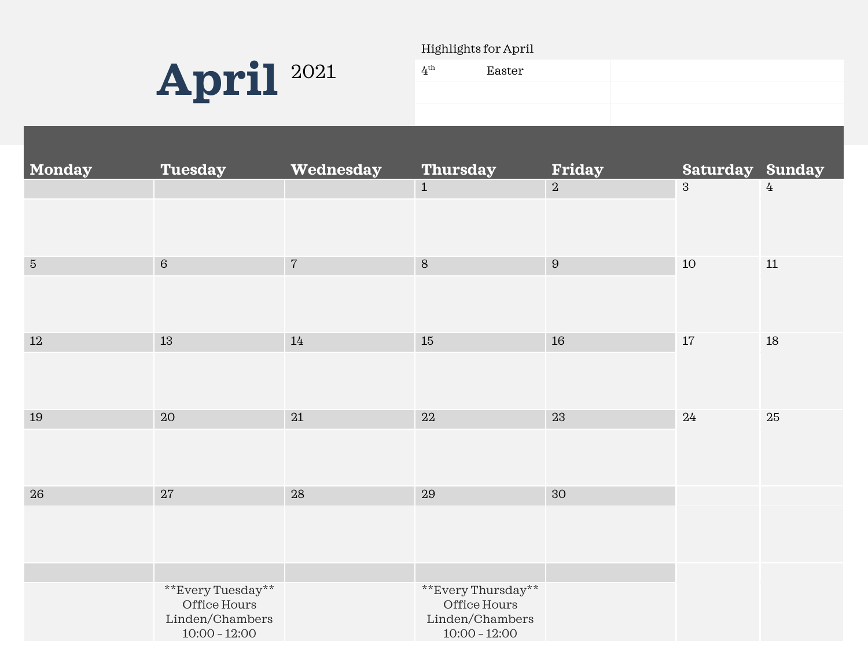

#### Highlights for April

| 4 <sup>th</sup> | Easter |  |
|-----------------|--------|--|
|                 |        |  |
|                 |        |  |

| Monday     | <b>Tuesday</b>                                                          | Wednesday  | <b>Thursday</b>                                                          | <b>Friday</b>    | <b>Saturday Sunday</b> |        |
|------------|-------------------------------------------------------------------------|------------|--------------------------------------------------------------------------|------------------|------------------------|--------|
|            |                                                                         |            | $\,$ 1 $\,$                                                              | $\overline{2}$   | $\mathbf{3}$           | 4      |
| $\bf 5$    | $\,6\,$                                                                 | $\sqrt{7}$ | $\,8\,$                                                                  | $\boldsymbol{9}$ | $10\,$                 | $11\,$ |
| $12\,$     | $13\,$                                                                  | 14         | $15\,$                                                                   | $16\,$           | $17\,$                 | $18\,$ |
| 19         | $20\,$                                                                  | $21\,$     | $22\,$                                                                   | 23               | 24                     | 25     |
| ${\bf 26}$ | $27\,$                                                                  | $28\,$     | $\bf 29$                                                                 | $30\,$           |                        |        |
|            | **Every Tuesday**<br>Office Hours<br>Linden/Chambers<br>$10:00 - 12:00$ |            | **Every Thursday**<br>Office Hours<br>Linden/Chambers<br>$10:00 - 12:00$ |                  |                        |        |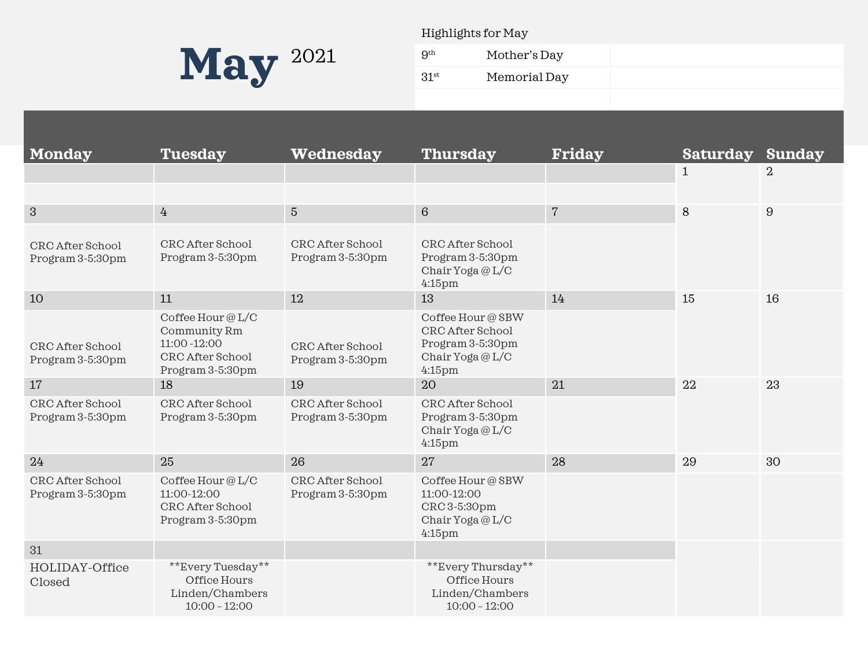

Highlights for May

| $\sim$             | __ | .            |
|--------------------|----|--------------|
| 9 <sup>th</sup>    |    | Mother's Day |
| $31$ <sup>st</sup> |    | Memorial Day |
|                    |    |              |

| <b>Monday</b>                        | <b>Tuesday</b>                                                                            | Wednesday                            | <b>Thursday</b>                                                                           | <b>Friday</b>  | <b>Saturday</b> | <b>Sunday</b>    |
|--------------------------------------|-------------------------------------------------------------------------------------------|--------------------------------------|-------------------------------------------------------------------------------------------|----------------|-----------------|------------------|
|                                      |                                                                                           |                                      |                                                                                           |                | $\mathbf{1}$    | $\overline{2}$   |
|                                      |                                                                                           |                                      |                                                                                           |                |                 |                  |
| 3                                    | $4\overline{ }$                                                                           | $5\phantom{.}$                       | $6\phantom{1}6$                                                                           | $\overline{7}$ | 8               | $\boldsymbol{9}$ |
| CRC After School<br>Program 3-5:30pm | CRC After School<br>Program 3-5:30pm                                                      | CRC After School<br>Program 3-5:30pm | CRC After School<br>Program 3-5:30pm<br>Chair Yoga $@$ L/C<br>$4:15$ pm                   |                |                 |                  |
| 10                                   | 11                                                                                        | 12                                   | 13                                                                                        | 14             | 15              | 16               |
| CRC After School<br>Program 3-5:30pm | Coffee Hour @L/C<br>Community Rm<br>11:00 - 12:00<br>CRC After School<br>Program 3-5:30pm | CRC After School<br>Program 3-5:30pm | Coffee Hour @ SBW<br>CRC After School<br>Program 3-5:30pm<br>Chair Yoga @L/C<br>$4:15$ pm |                |                 |                  |
| 17                                   | 18                                                                                        | 19                                   | 20                                                                                        | 21             | 22              | 23               |
| CRC After School<br>Program 3-5:30pm | CRC After School<br>Program 3-5:30pm                                                      | CRC After School<br>Program 3-5:30pm | CRC After School<br>Program 3-5:30pm<br>Chair Yoga @L/C<br>$4:15$ pm                      |                |                 |                  |
| 24                                   | 25                                                                                        | 26                                   | 27                                                                                        | 28             | 29              | 30               |
| CRC After School<br>Program 3-5:30pm | Coffee Hour @L/C<br>11:00-12:00<br>CRC After School<br>Program 3-5:30pm                   | CRC After School<br>Program 3-5:30pm | Coffee Hour @ SBW<br>11:00-12:00<br>CRC 3-5:30pm<br>Chair Yoga $@$ L/C<br>$4:15$ pm       |                |                 |                  |
| 31                                   |                                                                                           |                                      |                                                                                           |                |                 |                  |
| HOLIDAY-Office<br>Closed             | **Every Tuesday**<br>Office Hours<br>Linden/Chambers<br>$10:00 - 12:00$                   |                                      | **Every Thursday**<br>Office Hours<br>Linden/Chambers<br>$10:00 - 12:00$                  |                |                 |                  |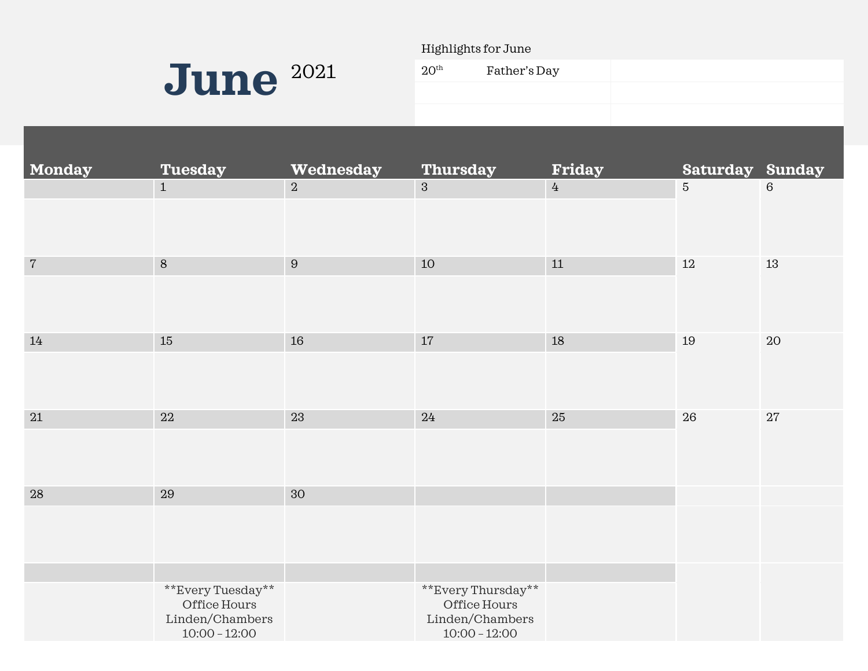

Highlights for June

| 20 <sup>th</sup> | Father's Day |  |
|------------------|--------------|--|
|                  |              |  |
|                  |              |  |

| Monday     | <b>Tuesday</b>                                                          | Wednesday      | <b>Thursday</b>                                                          | <b>Friday</b>  | <b>Saturday Sunday</b> |                 |
|------------|-------------------------------------------------------------------------|----------------|--------------------------------------------------------------------------|----------------|------------------------|-----------------|
|            | $1\,$                                                                   | $\overline{a}$ | $\overline{3}$                                                           | $\overline{4}$ | $\overline{5}$         | $6\phantom{1}6$ |
| $\sqrt{7}$ | $\,8\,$                                                                 | $\, 9$         | $10\,$                                                                   | $11\,$         | $12\,$                 | $13\,$          |
| 14         | 15                                                                      | 16             | $17\,$                                                                   | 18             | 19                     | $20\,$          |
| $21\,$     | 22                                                                      | 23             | 24                                                                       | $25\,$         | ${\bf 26}$             | 27              |
| $28\,$     | $\bf 29$                                                                | 30             |                                                                          |                |                        |                 |
|            | **Every Tuesday**<br>Office Hours<br>Linden/Chambers<br>$10:00 - 12:00$ |                | **Every Thursday**<br>Office Hours<br>Linden/Chambers<br>$10:00 - 12:00$ |                |                        |                 |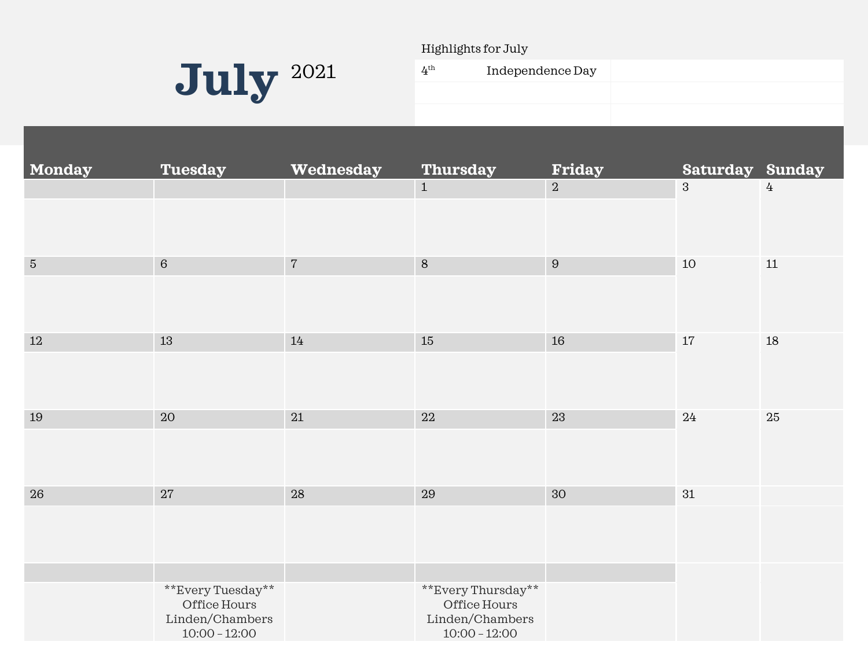

Highlights for July

| $4^{\rm th}$ | Independence Day |  |
|--------------|------------------|--|
|              |                  |  |
|              |                  |  |

| <b>Monday</b> | <b>Tuesday</b>                                                          | Wednesday  | <b>Thursday</b>                                                          | <b>Friday</b>    | <b>Saturday Sunday</b> |        |
|---------------|-------------------------------------------------------------------------|------------|--------------------------------------------------------------------------|------------------|------------------------|--------|
|               |                                                                         |            | $\mathbf{1}$                                                             | 2                | $\mathbf{3}$           | 4      |
| $\sqrt{5}$    | $\,6\,$                                                                 | $\sqrt{7}$ | $\,8\,$                                                                  | $\boldsymbol{9}$ | $10\,$                 | $11\,$ |
|               |                                                                         |            |                                                                          |                  |                        |        |
| $12\,$        | $13\,$                                                                  | 14         | $15\,$                                                                   | $16\,$           | $17\,$                 | $18\,$ |
|               |                                                                         |            |                                                                          |                  |                        |        |
| 19            | 20                                                                      | 21         | 22                                                                       | 23               | $24\,$                 | 25     |
|               |                                                                         |            |                                                                          |                  |                        |        |
| 26            | 27                                                                      | ${\bf 28}$ | 29                                                                       | $30\,$           | $31\,$                 |        |
|               |                                                                         |            |                                                                          |                  |                        |        |
|               |                                                                         |            |                                                                          |                  |                        |        |
|               | **Every Tuesday**<br>Office Hours<br>Linden/Chambers<br>$10:00 - 12:00$ |            | **Every Thursday**<br>Office Hours<br>Linden/Chambers<br>$10:00 - 12:00$ |                  |                        |        |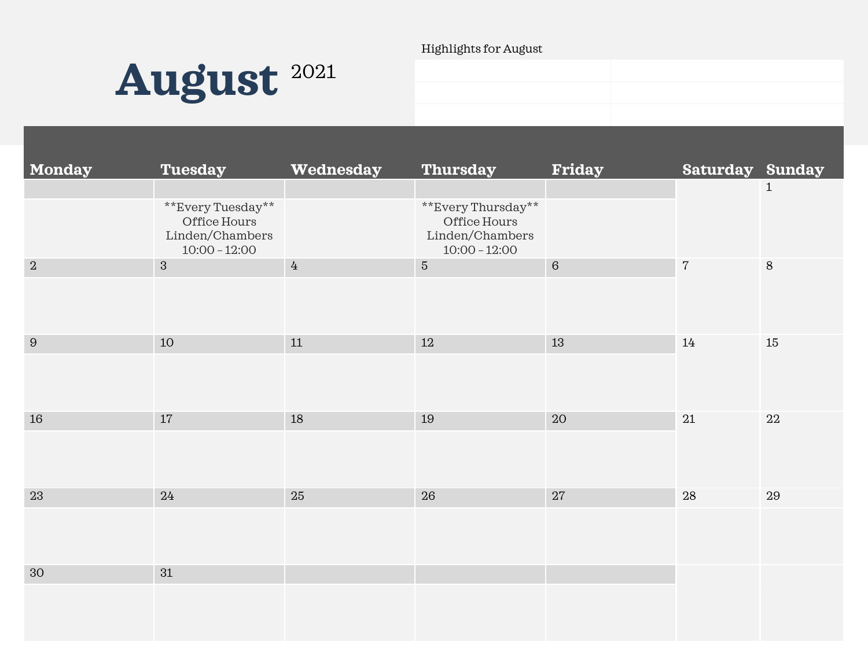#### Highlights for August



| Monday         | <b>Tuesday</b>                                                          | Wednesday | <b>Thursday</b>                                                          | <b>Friday</b> | Saturday Sunday |              |
|----------------|-------------------------------------------------------------------------|-----------|--------------------------------------------------------------------------|---------------|-----------------|--------------|
|                | **Every Tuesday**<br>Office Hours<br>Linden/Chambers<br>$10:00 - 12:00$ |           | **Every Thursday**<br>Office Hours<br>Linden/Chambers<br>$10:00 - 12:00$ |               |                 | $\mathbf{1}$ |
| $\,2$          | $\mathbf{3}$                                                            | $\bf 4$   | $\sqrt{5}$                                                               | $\,6\,$       | $\sqrt{7}$      | $\,8\,$      |
| $9\phantom{.}$ | 10                                                                      | 11        | $12\,$                                                                   | 13            | $14\,$          | 15           |
| 16             | 17                                                                      | 18        | 19                                                                       | $20\,$        | $21\,$          | $22\,$       |
| $23\,$         | $24\,$                                                                  | 25        | 26                                                                       | $27\,$        | $28\,$          | $\rm 29$     |
| 30             | 31                                                                      |           |                                                                          |               |                 |              |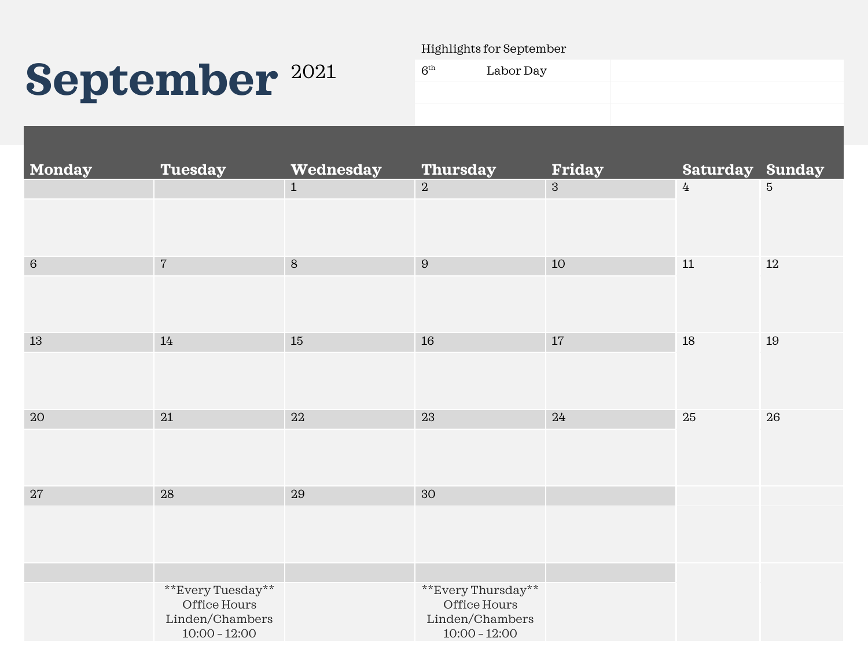# September<sup>2021</sup>

Highlights for September

| $6^{\rm th}$ | Labor Day |  |
|--------------|-----------|--|
|              |           |  |
|              |           |  |

| <b>Monday</b> | <b>Tuesday</b>                                     | Wednesday    | <b>Thursday</b>                                    | <b>Friday</b> | <b>Saturday Sunday</b> |                 |
|---------------|----------------------------------------------------|--------------|----------------------------------------------------|---------------|------------------------|-----------------|
|               |                                                    | $\mathbf{1}$ | $\overline{2}$                                     | $\mathbf{3}$  | $4\overline{ }$        | $5\overline{)}$ |
|               |                                                    |              |                                                    |               |                        |                 |
| $\,6\,$       | $\sqrt{7}$                                         | $\, 8$       | $\overline{9}$                                     | 10            | $11\,$                 | $12\,$          |
|               |                                                    |              |                                                    |               |                        |                 |
| $13\,$        | $14\,$                                             | 15           | $16\,$                                             | $17\,$        | 18                     | 19              |
|               |                                                    |              |                                                    |               |                        |                 |
| $20\,$        | 21                                                 | 22           | 23                                                 | 24            | $25\,$                 | ${\bf 26}$      |
|               |                                                    |              |                                                    |               |                        |                 |
| $27\,$        | 28                                                 | 29           | 30                                                 |               |                        |                 |
|               |                                                    |              |                                                    |               |                        |                 |
|               | **Every Tuesday**                                  |              | **Every Thursday**                                 |               |                        |                 |
|               | Office Hours<br>Linden/Chambers<br>$10:00 - 12:00$ |              | Office Hours<br>Linden/Chambers<br>$10:00 - 12:00$ |               |                        |                 |
|               |                                                    |              |                                                    |               |                        |                 |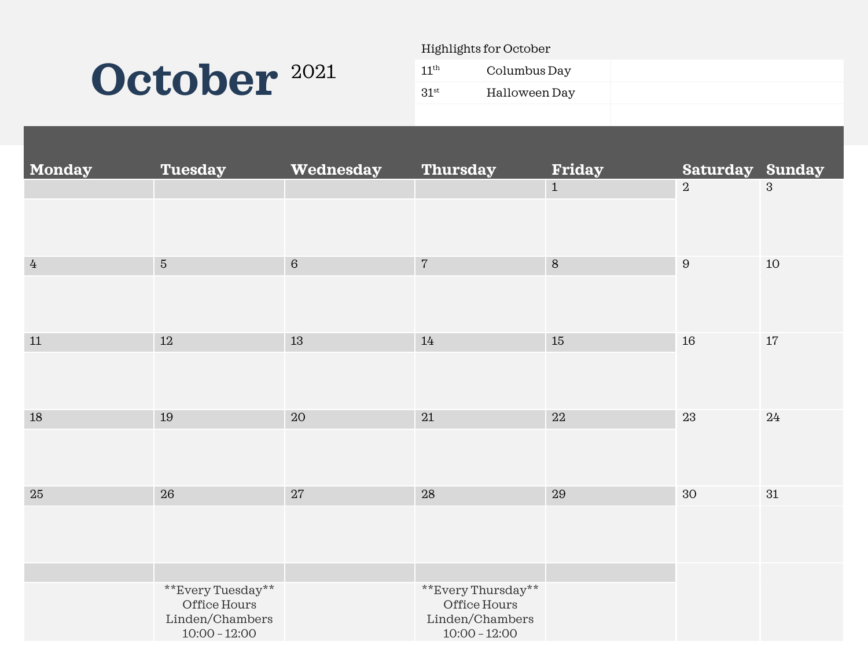### **October** 2021

Highlights for October

| $11^{\rm th}$    | Columbus Day  |  |  |
|------------------|---------------|--|--|
| 31 <sup>st</sup> | Halloween Day |  |  |
|                  |               |  |  |

| <b>Monday</b> | <b>Tuesday</b>                                          | Wednesday | <b>Thursday</b>                                          | <b>Friday</b> | <b>Saturday Sunday</b> |                |
|---------------|---------------------------------------------------------|-----------|----------------------------------------------------------|---------------|------------------------|----------------|
|               |                                                         |           |                                                          | $\mathbf{1}$  | $\boldsymbol{2}$       | $\overline{3}$ |
|               |                                                         |           |                                                          |               |                        |                |
|               |                                                         |           |                                                          |               |                        |                |
| $\frac{1}{4}$ | $\sqrt{5}$                                              | $\,6\,$   | $\sqrt{7}$                                               | $\,8\,$       | $\,9$                  | 10             |
|               |                                                         |           |                                                          |               |                        |                |
|               |                                                         |           |                                                          |               |                        |                |
| $11\,$        | $12\,$                                                  | 13        | 14                                                       | $15\,$        | 16                     | $17\,$         |
|               |                                                         |           |                                                          |               |                        |                |
|               |                                                         |           |                                                          |               |                        |                |
| $18\,$        | 19                                                      | 20        | $21\,$                                                   | $22\,$        | 23                     | 24             |
|               |                                                         |           |                                                          |               |                        |                |
|               |                                                         |           |                                                          |               |                        |                |
| $25\,$        | 26                                                      | $27\,$    | $28\,$                                                   | $\sqrt{29}$   | 30                     | 31             |
|               |                                                         |           |                                                          |               |                        |                |
|               |                                                         |           |                                                          |               |                        |                |
|               |                                                         |           |                                                          |               |                        |                |
|               |                                                         |           |                                                          |               |                        |                |
|               | Office Hours                                            |           | Office Hours                                             |               |                        |                |
|               |                                                         |           |                                                          |               |                        |                |
|               | **Every Tuesday**<br>Linden/Chambers<br>$10:00 - 12:00$ |           | **Every Thursday**<br>Linden/Chambers<br>$10:00 - 12:00$ |               |                        |                |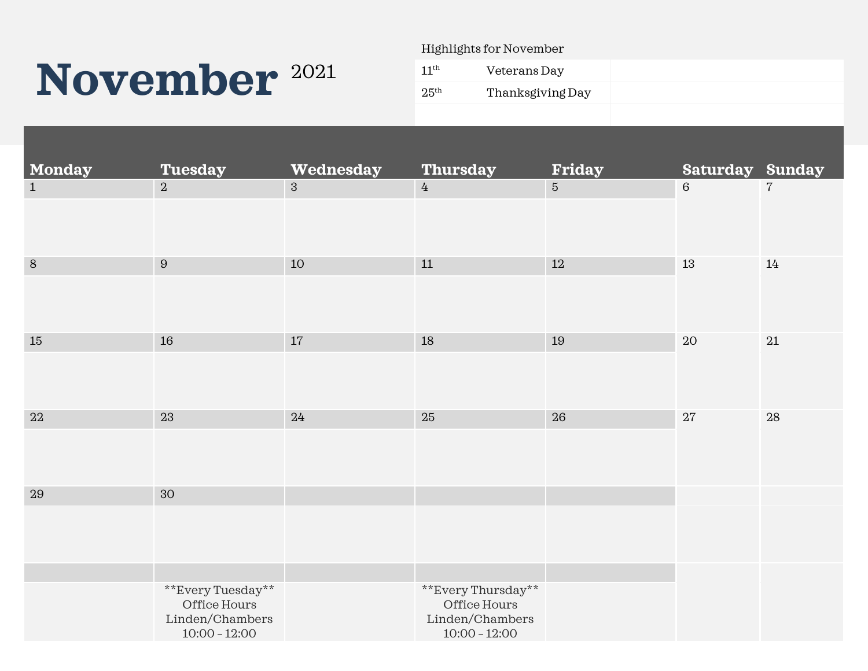## November<sup>2021</sup>

Highlights for November

| 11 <sup>th</sup> | Veterans Day     |
|------------------|------------------|
| 25 <sup>th</sup> | Thanksgiving Day |
|                  |                  |

| $\overline{\phantom{a}}$ Monday | <b>Tuesday</b>                                                          | Wednesday    | <b>Thursday</b>                                                          | <b>Friday</b> | <b>Saturday Sunday</b> |            |
|---------------------------------|-------------------------------------------------------------------------|--------------|--------------------------------------------------------------------------|---------------|------------------------|------------|
| $\mathbf{1}$                    | $\overline{2}$                                                          | $\mathbf{3}$ | $4\overline{ }$                                                          | $\sqrt{5}$    | $\,6\,$                | $\sqrt{7}$ |
| $8\,$                           | $\boldsymbol{9}$                                                        | $10\,$       | $11\,$                                                                   | $12\,$        | 13                     | 14         |
|                                 |                                                                         |              |                                                                          |               |                        |            |
| 15                              | 16                                                                      | 17           | $18\,$                                                                   | 19            | $20\,$                 | $21\,$     |
|                                 |                                                                         |              |                                                                          |               |                        |            |
| $22\,$                          | 23                                                                      | 24           | $25\,$                                                                   | 26            | $27\,$                 | 28         |
|                                 |                                                                         |              |                                                                          |               |                        |            |
| 29                              | 30                                                                      |              |                                                                          |               |                        |            |
|                                 |                                                                         |              |                                                                          |               |                        |            |
|                                 |                                                                         |              |                                                                          |               |                        |            |
|                                 | **Every Tuesday**<br>Office Hours<br>Linden/Chambers<br>$10:00 - 12:00$ |              | **Every Thursday**<br>Office Hours<br>Linden/Chambers<br>$10:00 - 12:00$ |               |                        |            |